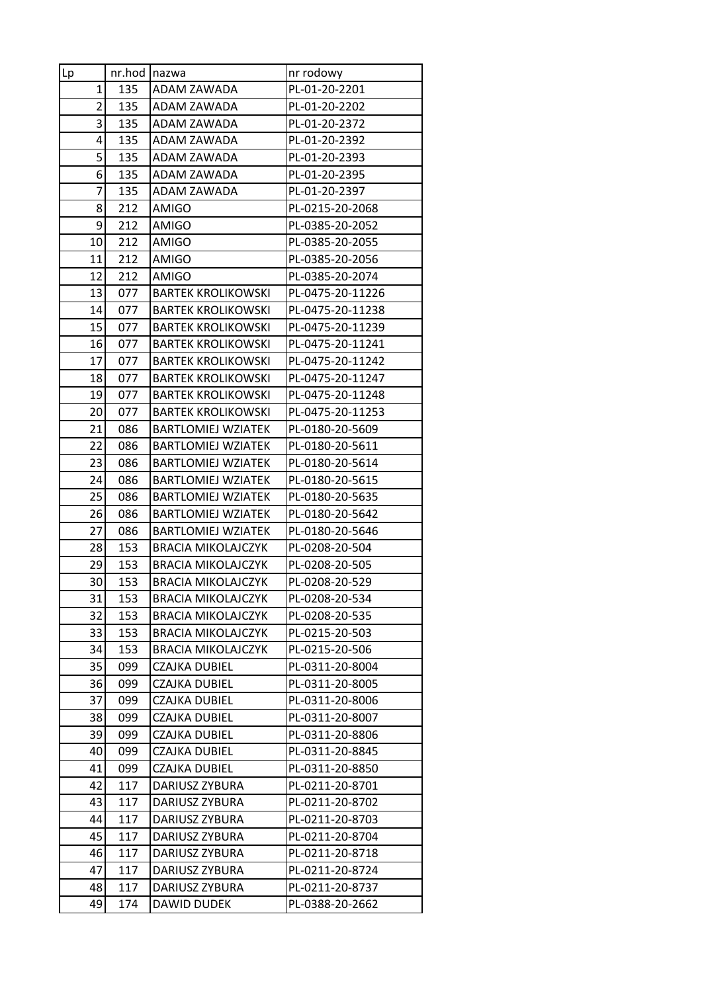| Lp             | nr.hod     | <b>Inazwa</b>                         | nr rodowy                          |
|----------------|------------|---------------------------------------|------------------------------------|
| 1              | 135        | ADAM ZAWADA                           | PL-01-20-2201                      |
| $\overline{2}$ | 135        | ADAM ZAWADA                           | PL-01-20-2202                      |
| 3              | 135        | ADAM ZAWADA                           | PL-01-20-2372                      |
| 4              | 135        | ADAM ZAWADA                           | PL-01-20-2392                      |
| 5              | 135        | ADAM ZAWADA                           | PL-01-20-2393                      |
| 6              | 135        | ADAM ZAWADA                           | PL-01-20-2395                      |
| 7              | 135        | ADAM ZAWADA                           | PL-01-20-2397                      |
| 8              | 212        | <b>AMIGO</b>                          | PL-0215-20-2068                    |
| 9              | 212        | <b>AMIGO</b>                          | PL-0385-20-2052                    |
| 10             | 212        | AMIGO                                 | PL-0385-20-2055                    |
| 11             | 212        | AMIGO                                 | PL-0385-20-2056                    |
| 12             | 212        | AMIGO                                 | PL-0385-20-2074                    |
| 13             | 077        | <b>BARTEK KROLIKOWSKI</b>             | PL-0475-20-11226                   |
| 14             | 077        | <b>BARTEK KROLIKOWSKI</b>             | PL-0475-20-11238                   |
| 15             | 077        | <b>BARTEK KROLIKOWSKI</b>             | PL-0475-20-11239                   |
| 16             | 077        | <b>BARTEK KROLIKOWSKI</b>             | PL-0475-20-11241                   |
| 17             | 077        | <b>BARTEK KROLIKOWSKI</b>             | PL-0475-20-11242                   |
| 18             | 077        | <b>BARTEK KROLIKOWSKI</b>             | PL-0475-20-11247                   |
| 19             | 077        | <b>BARTEK KROLIKOWSKI</b>             | PL-0475-20-11248                   |
| 20             | 077        | <b>BARTEK KROLIKOWSKI</b>             | PL-0475-20-11253                   |
| 21             | 086        | <b>BARTLOMIEJ WZIATEK</b>             | PL-0180-20-5609                    |
| 22             | 086        | <b>BARTLOMIEJ WZIATEK</b>             | PL-0180-20-5611                    |
| 23             | 086        | <b>BARTLOMIEJ WZIATEK</b>             | PL-0180-20-5614                    |
| 24             | 086        | <b>BARTLOMIEJ WZIATEK</b>             | PL-0180-20-5615                    |
| 25             | 086        | <b>BARTLOMIEJ WZIATEK</b>             | PL-0180-20-5635                    |
| 26             | 086        | <b>BARTLOMIEJ WZIATEK</b>             | PL-0180-20-5642                    |
| 27             | 086        | <b>BARTLOMIEJ WZIATEK</b>             | PL-0180-20-5646                    |
| 28             | 153        | <b>BRACIA MIKOLAJCZYK</b>             | PL-0208-20-504                     |
| 29             | 153        | <b>BRACIA MIKOLAJCZYK</b>             | PL-0208-20-505                     |
| 30             | 153        | <b>BRACIA MIKOLAJCZYK</b>             | PL-0208-20-529                     |
| 31             | 153        | <b>BRACIA MIKOLAJCZYK</b>             | PL-0208-20-534                     |
| 32             | 153        | <b>BRACIA MIKOLAJCZYK</b>             | PL-0208-20-535                     |
| 33             | 153        | <b>BRACIA MIKOLAJCZYK</b>             | PL-0215-20-503                     |
| 34             | 153        | <b>BRACIA MIKOLAJCZYK</b>             | PL-0215-20-506                     |
| 35             | 099        | CZAJKA DUBIEL                         | PL-0311-20-8004                    |
| 36             | 099        | <b>CZAJKA DUBIEL</b>                  | PL-0311-20-8005                    |
| 37             | 099        | CZAJKA DUBIEL                         | PL-0311-20-8006                    |
| 38             | 099        | CZAJKA DUBIEL                         | PL-0311-20-8007                    |
| 39             | 099        | CZAJKA DUBIEL                         | PL-0311-20-8806                    |
| 40<br>41       | 099<br>099 | CZAJKA DUBIEL<br><b>CZAJKA DUBIEL</b> | PL-0311-20-8845<br>PL-0311-20-8850 |
|                |            |                                       |                                    |
| 42<br>43       | 117<br>117 | DARIUSZ ZYBURA                        | PL-0211-20-8701                    |
| 44             | 117        | DARIUSZ ZYBURA<br>DARIUSZ ZYBURA      | PL-0211-20-8702<br>PL-0211-20-8703 |
| 45             | 117        | DARIUSZ ZYBURA                        | PL-0211-20-8704                    |
| 46             | 117        | DARIUSZ ZYBURA                        | PL-0211-20-8718                    |
| 47             | 117        | DARIUSZ ZYBURA                        | PL-0211-20-8724                    |
| 48             | 117        | DARIUSZ ZYBURA                        | PL-0211-20-8737                    |
| 49             | 174        |                                       | PL-0388-20-2662                    |
|                |            | DAWID DUDEK                           |                                    |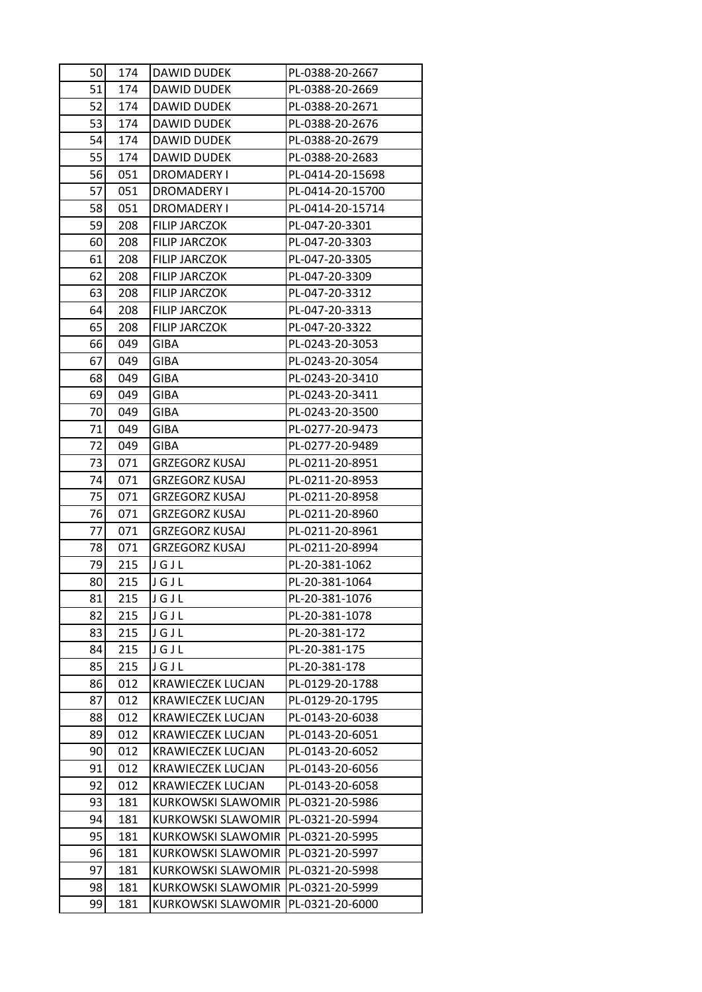| 50 | 174 | DAWID DUDEK                                    | PL-0388-20-2667                    |
|----|-----|------------------------------------------------|------------------------------------|
| 51 | 174 | DAWID DUDEK                                    | PL-0388-20-2669                    |
| 52 | 174 | <b>DAWID DUDEK</b>                             | PL-0388-20-2671                    |
| 53 | 174 | <b>DAWID DUDEK</b>                             | PL-0388-20-2676                    |
| 54 | 174 | <b>DAWID DUDEK</b>                             | PL-0388-20-2679                    |
| 55 | 174 | DAWID DUDEK                                    | PL-0388-20-2683                    |
| 56 | 051 | DROMADERY I                                    | PL-0414-20-15698                   |
| 57 | 051 | DROMADERY I                                    | PL-0414-20-15700                   |
| 58 | 051 | <b>DROMADERY I</b>                             | PL-0414-20-15714                   |
| 59 | 208 | <b>FILIP JARCZOK</b>                           | PL-047-20-3301                     |
| 60 | 208 | <b>FILIP JARCZOK</b>                           | PL-047-20-3303                     |
| 61 | 208 | FILIP JARCZOK                                  | PL-047-20-3305                     |
| 62 | 208 | <b>FILIP JARCZOK</b>                           | PL-047-20-3309                     |
| 63 | 208 | <b>FILIP JARCZOK</b>                           | PL-047-20-3312                     |
| 64 | 208 | <b>FILIP JARCZOK</b>                           | PL-047-20-3313                     |
| 65 | 208 | <b>FILIP JARCZOK</b>                           | PL-047-20-3322                     |
| 66 | 049 | GIBA                                           | PL-0243-20-3053                    |
| 67 | 049 | GIBA                                           | PL-0243-20-3054                    |
| 68 | 049 | GIBA                                           | PL-0243-20-3410                    |
| 69 | 049 | <b>GIBA</b>                                    | PL-0243-20-3411                    |
| 70 | 049 | GIBA                                           | PL-0243-20-3500                    |
| 71 | 049 | <b>GIBA</b>                                    | PL-0277-20-9473                    |
| 72 | 049 | GIBA                                           | PL-0277-20-9489                    |
| 73 | 071 | <b>GRZEGORZ KUSAJ</b>                          | PL-0211-20-8951                    |
| 74 | 071 | <b>GRZEGORZ KUSAJ</b>                          | PL-0211-20-8953                    |
| 75 | 071 | GRZEGORZ KUSAJ                                 | PL-0211-20-8958                    |
| 76 | 071 |                                                |                                    |
| 77 | 071 | <b>GRZEGORZ KUSAJ</b><br><b>GRZEGORZ KUSAJ</b> | PL-0211-20-8960<br>PL-0211-20-8961 |
| 78 | 071 | <b>GRZEGORZ KUSAJ</b>                          | PL-0211-20-8994                    |
| 79 | 215 | JGJL                                           | PL-20-381-1062                     |
| 80 | 215 | JGJL                                           |                                    |
|    | 215 |                                                | PL-20-381-1064                     |
| 81 |     | JGJL                                           | PL-20-381-1076                     |
| 82 | 215 | JGJL                                           | PL-20-381-1078                     |
| 83 | 215 | JGJL                                           | PL-20-381-172                      |
| 84 | 215 | JGJL                                           | PL-20-381-175                      |
| 85 | 215 | JGJL                                           | PL-20-381-178                      |
| 86 | 012 | <b>KRAWIECZEK LUCJAN</b>                       | PL-0129-20-1788                    |
| 87 | 012 | KRAWIECZEK LUCJAN                              | PL-0129-20-1795                    |
| 88 | 012 | <b>KRAWIECZEK LUCJAN</b>                       | PL-0143-20-6038                    |
| 89 | 012 | <b>KRAWIECZEK LUCJAN</b>                       | PL-0143-20-6051                    |
| 90 | 012 | <b>KRAWIECZEK LUCJAN</b>                       | PL-0143-20-6052                    |
| 91 | 012 | <b>KRAWIECZEK LUCJAN</b>                       | PL-0143-20-6056                    |
| 92 | 012 | KRAWIECZEK LUCJAN                              | PL-0143-20-6058                    |
| 93 | 181 | <b>KURKOWSKI SLAWOMIR</b>                      | PL-0321-20-5986                    |
| 94 | 181 | KURKOWSKI SLAWOMIR                             | PL-0321-20-5994                    |
| 95 | 181 | KURKOWSKI SLAWOMIR                             | PL-0321-20-5995                    |
| 96 | 181 | <b>KURKOWSKI SLAWOMIR</b>                      | PL-0321-20-5997                    |
| 97 | 181 | KURKOWSKI SLAWOMIR                             | PL-0321-20-5998                    |
| 98 | 181 | KURKOWSKI SLAWOMIR                             | PL-0321-20-5999                    |
| 99 | 181 | KURKOWSKI SLAWOMIR                             | PL-0321-20-6000                    |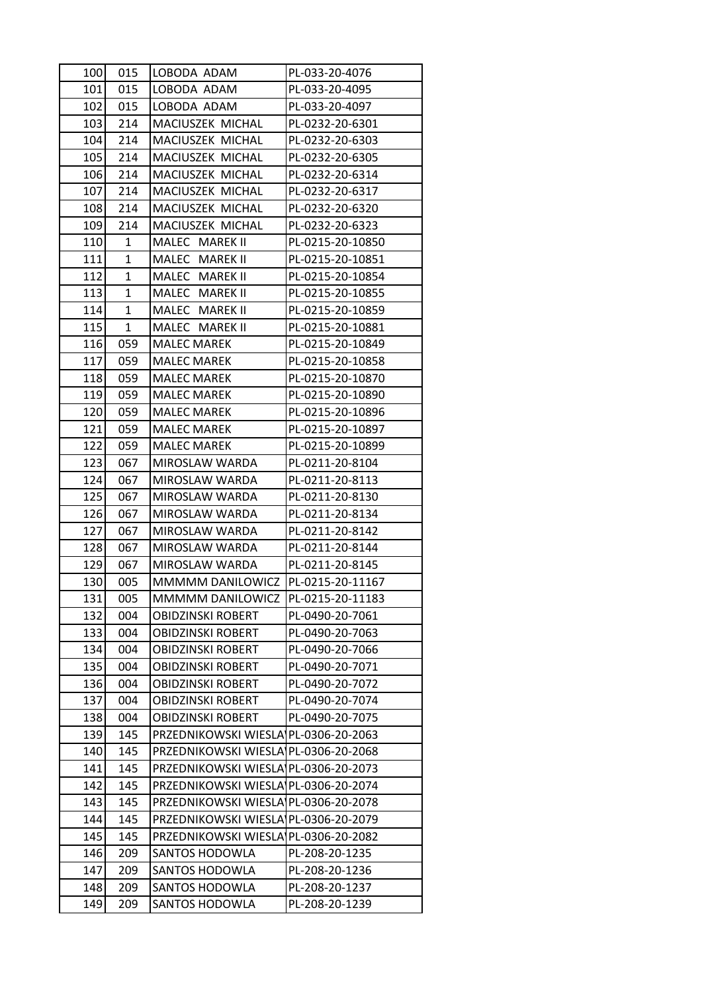| 100 | 015          | LOBODA ADAM                          | PL-033-20-4076   |
|-----|--------------|--------------------------------------|------------------|
| 101 | 015          | LOBODA ADAM                          | PL-033-20-4095   |
| 102 | 015          | LOBODA ADAM                          | PL-033-20-4097   |
| 103 | 214          | MACIUSZEK MICHAL                     | PL-0232-20-6301  |
| 104 | 214          | MACIUSZEK MICHAL                     | PL-0232-20-6303  |
| 105 | 214          | MACIUSZEK MICHAL                     | PL-0232-20-6305  |
| 106 | 214          | MACIUSZEK MICHAL                     | PL-0232-20-6314  |
| 107 | 214          | MACIUSZEK MICHAL                     | PL-0232-20-6317  |
| 108 | 214          | MACIUSZEK MICHAL                     | PL-0232-20-6320  |
| 109 | 214          | MACIUSZEK MICHAL                     | PL-0232-20-6323  |
| 110 | 1            | MALEC MAREK II                       | PL-0215-20-10850 |
| 111 | $\mathbf{1}$ | MALEC MAREK II                       | PL-0215-20-10851 |
| 112 | 1            | MALEC MAREK II                       | PL-0215-20-10854 |
| 113 | 1            | MALEC MAREK II                       | PL-0215-20-10855 |
| 114 | 1            | MALEC MAREK II                       | PL-0215-20-10859 |
| 115 | $\mathbf 1$  | MALEC MAREK II                       | PL-0215-20-10881 |
| 116 | 059          | <b>MALEC MAREK</b>                   | PL-0215-20-10849 |
| 117 | 059          | <b>MALEC MAREK</b>                   | PL-0215-20-10858 |
| 118 | 059          | <b>MALEC MAREK</b>                   | PL-0215-20-10870 |
| 119 | 059          | <b>MALEC MAREK</b>                   | PL-0215-20-10890 |
| 120 | 059          | <b>MALEC MAREK</b>                   | PL-0215-20-10896 |
| 121 | 059          | <b>MALEC MAREK</b>                   | PL-0215-20-10897 |
| 122 | 059          | <b>MALEC MAREK</b>                   | PL-0215-20-10899 |
| 123 | 067          | MIROSLAW WARDA                       | PL-0211-20-8104  |
| 124 | 067          | MIROSLAW WARDA                       | PL-0211-20-8113  |
| 125 | 067          | MIROSLAW WARDA                       | PL-0211-20-8130  |
| 126 | 067          | MIROSLAW WARDA                       | PL-0211-20-8134  |
| 127 | 067          | MIROSLAW WARDA                       | PL-0211-20-8142  |
| 128 | 067          | MIROSLAW WARDA                       | PL-0211-20-8144  |
| 129 | 067          | MIROSLAW WARDA                       | PL-0211-20-8145  |
| 130 | 005          | MMMMM DANILOWICZ  PL-0215-20-11167   |                  |
| 131 | 005          | MMMMM DANILOWICZ                     | PL-0215-20-11183 |
| 132 | 004          | <b>OBIDZINSKI ROBERT</b>             | PL-0490-20-7061  |
| 133 | 004          | <b>OBIDZINSKI ROBERT</b>             | PL-0490-20-7063  |
| 134 | 004          | <b>OBIDZINSKI ROBERT</b>             | PL-0490-20-7066  |
| 135 | 004          | <b>OBIDZINSKI ROBERT</b>             | PL-0490-20-7071  |
| 136 | 004          | <b>OBIDZINSKI ROBERT</b>             | PL-0490-20-7072  |
| 137 | 004          | <b>OBIDZINSKI ROBERT</b>             | PL-0490-20-7074  |
| 138 | 004          | <b>OBIDZINSKI ROBERT</b>             | PL-0490-20-7075  |
| 139 | 145          | PRZEDNIKOWSKI WIESLA PL-0306-20-2063 |                  |
| 140 | 145          | PRZEDNIKOWSKI WIESLA PL-0306-20-2068 |                  |
| 141 | 145          | PRZEDNIKOWSKI WIESLA PL-0306-20-2073 |                  |
| 142 | 145          | PRZEDNIKOWSKI WIESLA PL-0306-20-2074 |                  |
| 143 | 145          | PRZEDNIKOWSKI WIESLA PL-0306-20-2078 |                  |
| 144 | 145          | PRZEDNIKOWSKI WIESLA PL-0306-20-2079 |                  |
| 145 | 145          | PRZEDNIKOWSKI WIESLA PL-0306-20-2082 |                  |
| 146 | 209          | <b>SANTOS HODOWLA</b>                | PL-208-20-1235   |
| 147 | 209          | SANTOS HODOWLA                       | PL-208-20-1236   |
| 148 | 209          | <b>SANTOS HODOWLA</b>                | PL-208-20-1237   |
| 149 | 209          | SANTOS HODOWLA                       | PL-208-20-1239   |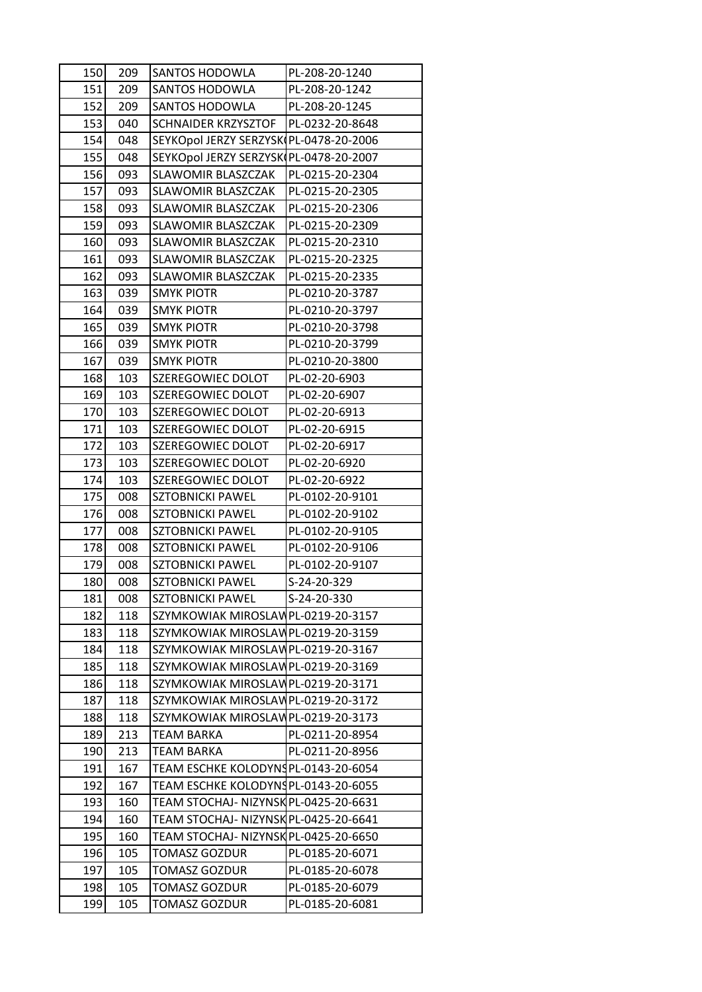| 150 | 209 | SANTOS HODOWLA                         | PL-208-20-1240  |
|-----|-----|----------------------------------------|-----------------|
| 151 | 209 | SANTOS HODOWLA                         | PL-208-20-1242  |
| 152 | 209 | <b>SANTOS HODOWLA</b>                  | PL-208-20-1245  |
| 153 | 040 | <b>SCHNAIDER KRZYSZTOF</b>             | PL-0232-20-8648 |
| 154 | 048 | SEYKOpol JERZY SERZYSK PL-0478-20-2006 |                 |
| 155 | 048 | SEYKOpol JERZY SERZYSK PL-0478-20-2007 |                 |
| 156 | 093 | SLAWOMIR BLASZCZAK                     | PL-0215-20-2304 |
| 157 | 093 | SLAWOMIR BLASZCZAK                     | PL-0215-20-2305 |
| 158 | 093 | SLAWOMIR BLASZCZAK                     | PL-0215-20-2306 |
| 159 | 093 | SLAWOMIR BLASZCZAK                     | PL-0215-20-2309 |
| 160 | 093 | SLAWOMIR BLASZCZAK                     | PL-0215-20-2310 |
| 161 | 093 | SLAWOMIR BLASZCZAK                     | PL-0215-20-2325 |
| 162 | 093 | SLAWOMIR BLASZCZAK                     | PL-0215-20-2335 |
| 163 | 039 | <b>SMYK PIOTR</b>                      | PL-0210-20-3787 |
| 164 | 039 | <b>SMYK PIOTR</b>                      | PL-0210-20-3797 |
| 165 | 039 | <b>SMYK PIOTR</b>                      | PL-0210-20-3798 |
| 166 | 039 | <b>SMYK PIOTR</b>                      | PL-0210-20-3799 |
| 167 | 039 | <b>SMYK PIOTR</b>                      | PL-0210-20-3800 |
| 168 | 103 | SZEREGOWIEC DOLOT                      | PL-02-20-6903   |
| 169 | 103 | SZEREGOWIEC DOLOT                      | PL-02-20-6907   |
| 170 | 103 | SZEREGOWIEC DOLOT                      | PL-02-20-6913   |
| 171 | 103 | SZEREGOWIEC DOLOT                      | PL-02-20-6915   |
| 172 | 103 | SZEREGOWIEC DOLOT                      | PL-02-20-6917   |
| 173 | 103 | SZEREGOWIEC DOLOT                      | PL-02-20-6920   |
| 174 | 103 | SZEREGOWIEC DOLOT                      | PL-02-20-6922   |
| 175 | 008 | <b>SZTOBNICKI PAWEL</b>                | PL-0102-20-9101 |
| 176 | 008 | <b>SZTOBNICKI PAWEL</b>                | PL-0102-20-9102 |
| 177 | 008 | <b>SZTOBNICKI PAWEL</b>                | PL-0102-20-9105 |
| 178 | 008 | <b>SZTOBNICKI PAWEL</b>                | PL-0102-20-9106 |
| 179 | 008 | <b>SZTOBNICKI PAWEL</b>                | PL-0102-20-9107 |
| 180 | 008 | <b>SZTOBNICKI PAWEL</b>                | S-24-20-329     |
| 181 | 008 | SZTOBNICKI PAWEL                       | S-24-20-330     |
| 182 | 118 | SZYMKOWIAK MIROSLAWPL-0219-20-3157     |                 |
| 183 | 118 | SZYMKOWIAK MIROSLAWPL-0219-20-3159     |                 |
| 184 | 118 | SZYMKOWIAK MIROSLAWPL-0219-20-3167     |                 |
| 185 | 118 | SZYMKOWIAK MIROSLAWPL-0219-20-3169     |                 |
| 186 | 118 | SZYMKOWIAK MIROSLAWPL-0219-20-3171     |                 |
| 187 | 118 | SZYMKOWIAK MIROSLAWPL-0219-20-3172     |                 |
| 188 | 118 | SZYMKOWIAK MIROSLAWPL-0219-20-3173     |                 |
| 189 | 213 | TEAM BARKA                             | PL-0211-20-8954 |
| 190 | 213 | TEAM BARKA                             | PL-0211-20-8956 |
| 191 | 167 | TEAM ESCHKE KOLODYNSPL-0143-20-6054    |                 |
| 192 | 167 | TEAM ESCHKE KOLODYNSPL-0143-20-6055    |                 |
| 193 | 160 | TEAM STOCHAJ- NIZYNSK PL-0425-20-6631  |                 |
| 194 | 160 | TEAM STOCHAJ- NIZYNSK PL-0425-20-6641  |                 |
| 195 | 160 | TEAM STOCHAJ- NIZYNSK PL-0425-20-6650  |                 |
| 196 | 105 | TOMASZ GOZDUR                          | PL-0185-20-6071 |
| 197 | 105 | TOMASZ GOZDUR                          | PL-0185-20-6078 |
| 198 | 105 | TOMASZ GOZDUR                          | PL-0185-20-6079 |
| 199 | 105 | <b>TOMASZ GOZDUR</b>                   | PL-0185-20-6081 |